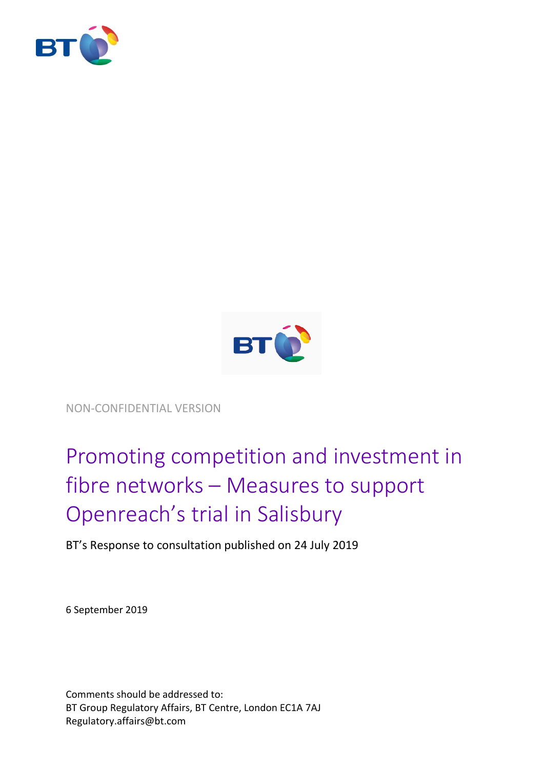



NON-CONFIDENTIAL VERSION

# Promoting competition and investment in fibre networks – Measures to support Openreach's trial in Salisbury

BT's Response to consultation published on 24 July 2019

6 September 2019

Comments should be addressed to: BT Group Regulatory Affairs, BT Centre, London EC1A 7AJ Regulatory.affairs@bt.com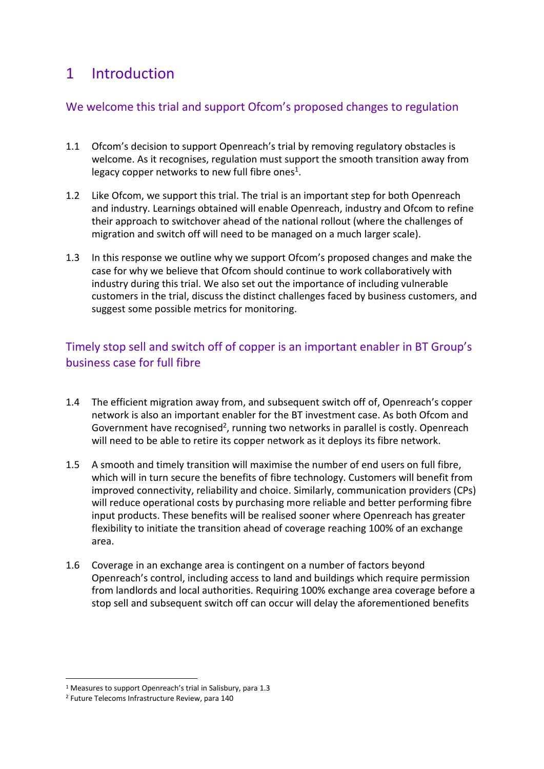# 1 Introduction

#### We welcome this trial and support Ofcom's proposed changes to regulation

- 1.1 Ofcom's decision to support Openreach's trial by removing regulatory obstacles is welcome. As it recognises, regulation must support the smooth transition away from legacy copper networks to new full fibre ones<sup>1</sup>.
- 1.2 Like Ofcom, we support this trial. The trial is an important step for both Openreach and industry. Learnings obtained will enable Openreach, industry and Ofcom to refine their approach to switchover ahead of the national rollout (where the challenges of migration and switch off will need to be managed on a much larger scale).
- 1.3 In this response we outline why we support Ofcom's proposed changes and make the case for why we believe that Ofcom should continue to work collaboratively with industry during this trial. We also set out the importance of including vulnerable customers in the trial, discuss the distinct challenges faced by business customers, and suggest some possible metrics for monitoring.

### Timely stop sell and switch off of copper is an important enabler in BT Group's business case for full fibre

- 1.4 The efficient migration away from, and subsequent switch off of, Openreach's copper network is also an important enabler for the BT investment case. As both Ofcom and Government have recognised<sup>2</sup>, running two networks in parallel is costly. Openreach will need to be able to retire its copper network as it deploys its fibre network.
- 1.5 A smooth and timely transition will maximise the number of end users on full fibre, which will in turn secure the benefits of fibre technology. Customers will benefit from improved connectivity, reliability and choice. Similarly, communication providers (CPs) will reduce operational costs by purchasing more reliable and better performing fibre input products. These benefits will be realised sooner where Openreach has greater flexibility to initiate the transition ahead of coverage reaching 100% of an exchange area.
- 1.6 Coverage in an exchange area is contingent on a number of factors beyond Openreach's control, including access to land and buildings which require permission from landlords and local authorities. Requiring 100% exchange area coverage before a stop sell and subsequent switch off can occur will delay the aforementioned benefits

1

<sup>1</sup> Measures to support Openreach's trial in Salisbury, para 1.3

<sup>2</sup> Future Telecoms Infrastructure Review, para 140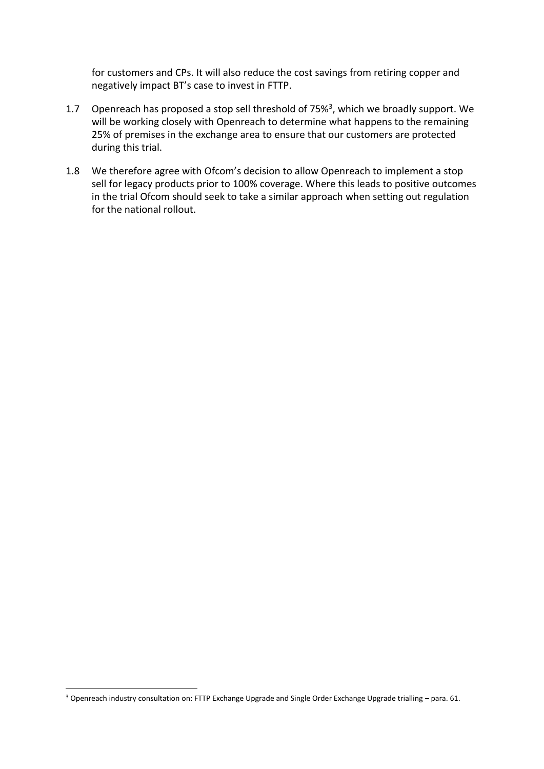for customers and CPs. It will also reduce the cost savings from retiring copper and negatively impact BT's case to invest in FTTP.

- 1.7 Openreach has proposed a stop sell threshold of 75%<sup>3</sup>, which we broadly support. We will be working closely with Openreach to determine what happens to the remaining 25% of premises in the exchange area to ensure that our customers are protected during this trial.
- 1.8 We therefore agree with Ofcom's decision to allow Openreach to implement a stop sell for legacy products prior to 100% coverage. Where this leads to positive outcomes in the trial Ofcom should seek to take a similar approach when setting out regulation for the national rollout.

**-**

<sup>3</sup> Openreach industry consultation on: FTTP Exchange Upgrade and Single Order Exchange Upgrade trialling – para. 61.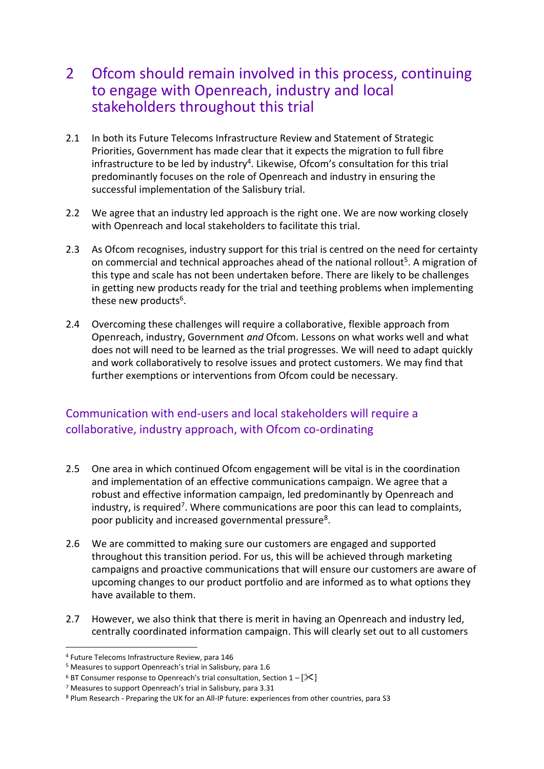### 2 Ofcom should remain involved in this process, continuing to engage with Openreach, industry and local stakeholders throughout this trial

- 2.1 In both its Future Telecoms Infrastructure Review and Statement of Strategic Priorities, Government has made clear that it expects the migration to full fibre infrastructure to be led by industry<sup>4</sup>. Likewise, Ofcom's consultation for this trial predominantly focuses on the role of Openreach and industry in ensuring the successful implementation of the Salisbury trial.
- 2.2 We agree that an industry led approach is the right one. We are now working closely with Openreach and local stakeholders to facilitate this trial.
- 2.3 As Ofcom recognises, industry support for this trial is centred on the need for certainty on commercial and technical approaches ahead of the national rollout<sup>5</sup>. A migration of this type and scale has not been undertaken before. There are likely to be challenges in getting new products ready for the trial and teething problems when implementing these new products<sup>6</sup>.
- 2.4 Overcoming these challenges will require a collaborative, flexible approach from Openreach, industry, Government *and* Ofcom. Lessons on what works well and what does not will need to be learned as the trial progresses. We will need to adapt quickly and work collaboratively to resolve issues and protect customers. We may find that further exemptions or interventions from Ofcom could be necessary.

### Communication with end-users and local stakeholders will require a collaborative, industry approach, with Ofcom co-ordinating

- 2.5 One area in which continued Ofcom engagement will be vital is in the coordination and implementation of an effective communications campaign. We agree that a robust and effective information campaign, led predominantly by Openreach and industry, is required<sup>7</sup>. Where communications are poor this can lead to complaints, poor publicity and increased governmental pressure<sup>8</sup>.
- 2.6 We are committed to making sure our customers are engaged and supported throughout this transition period. For us, this will be achieved through marketing campaigns and proactive communications that will ensure our customers are aware of upcoming changes to our product portfolio and are informed as to what options they have available to them.
- 2.7 However, we also think that there is merit in having an Openreach and industry led, centrally coordinated information campaign. This will clearly set out to all customers

<sup>4</sup> Future Telecoms Infrastructure Review, para 146

<sup>5</sup> Measures to support Openreach's trial in Salisbury, para 1.6

<sup>&</sup>lt;sup>6</sup> BT Consumer response to Openreach's trial consultation, Section  $1 - [\mathcal{K}]$ 

<sup>7</sup> Measures to support Openreach's trial in Salisbury, para 3.31

<sup>8</sup> Plum Research - Preparing the UK for an All-IP future: experiences from other countries, para S3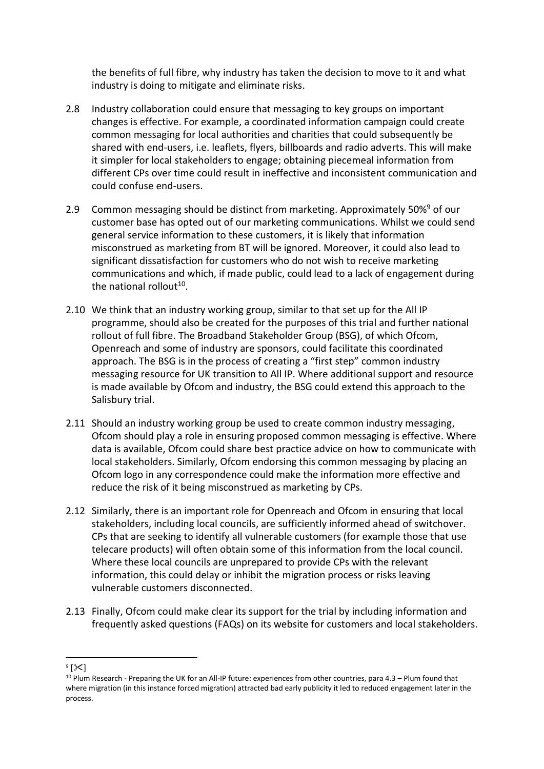the benefits of full fibre, why industry has taken the decision to move to it and what industry is doing to mitigate and eliminate risks.

- 2.8 Industry collaboration could ensure that messaging to key groups on important changes is effective. For example, a coordinated information campaign could create common messaging for local authorities and charities that could subsequently be shared with end-users, i.e. leaflets, flyers, billboards and radio adverts. This will make it simpler for local stakeholders to engage; obtaining piecemeal information from different CPs over time could result in ineffective and inconsistent communication and could confuse end-users.
- 2.9 Common messaging should be distinct from marketing. Approximately 50%<sup>9</sup> of our customer base has opted out of our marketing communications. Whilst we could send general service information to these customers, it is likely that information misconstrued as marketing from BT will be ignored. Moreover, it could also lead to significant dissatisfaction for customers who do not wish to receive marketing communications and which, if made public, could lead to a lack of engagement during the national rollout<sup>10</sup>.
- 2.10 We think that an industry working group, similar to that set up for the All IP programme, should also be created for the purposes of this trial and further national rollout of full fibre. The Broadband Stakeholder Group (BSG), of which Ofcom, Openreach and some of industry are sponsors, could facilitate this coordinated approach. The BSG is in the process of creating a "first step" common industry messaging resource for UK transition to All IP. Where additional support and resource is made available by Ofcom and industry, the BSG could extend this approach to the Salisbury trial.
- 2.11 Should an industry working group be used to create common industry messaging, Ofcom should play a role in ensuring proposed common messaging is effective. Where data is available, Ofcom could share best practice advice on how to communicate with local stakeholders. Similarly, Ofcom endorsing this common messaging by placing an Ofcom logo in any correspondence could make the information more effective and reduce the risk of it being misconstrued as marketing by CPs.
- 2.12 Similarly, there is an important role for Openreach and Ofcom in ensuring that local stakeholders, including local councils, are sufficiently informed ahead of switchover. CPs that are seeking to identify all vulnerable customers (for example those that use telecare products) will often obtain some of this information from the local council. Where these local councils are unprepared to provide CPs with the relevant information, this could delay or inhibit the migration process or risks leaving vulnerable customers disconnected.
- 2.13 Finally, Ofcom could make clear its support for the trial by including information and frequently asked questions (FAQs) on its website for customers and local stakeholders.

1

 $\mathsf{P}(\mathsf{R})$ 

 $10$  Plum Research - Preparing the UK for an All-IP future: experiences from other countries, para 4.3 – Plum found that where migration (in this instance forced migration) attracted bad early publicity it led to reduced engagement later in the process.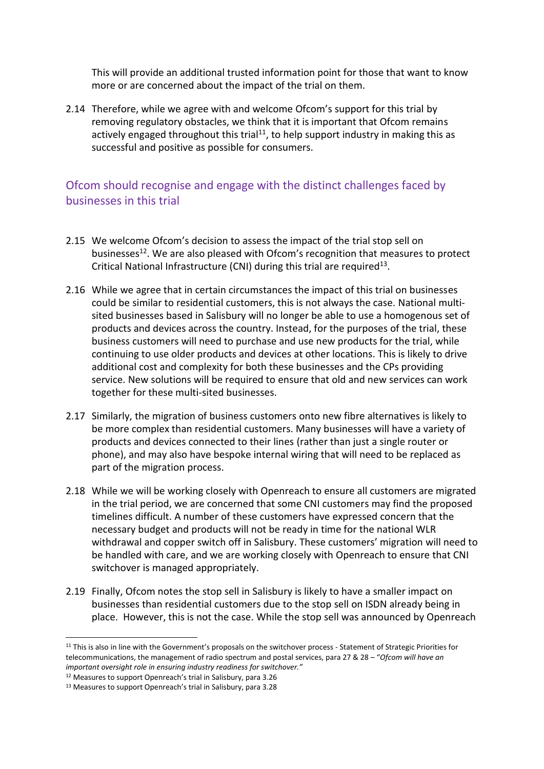This will provide an additional trusted information point for those that want to know more or are concerned about the impact of the trial on them.

2.14 Therefore, while we agree with and welcome Ofcom's support for this trial by removing regulatory obstacles, we think that it is important that Ofcom remains actively engaged throughout this trial<sup>11</sup>, to help support industry in making this as successful and positive as possible for consumers.

#### Ofcom should recognise and engage with the distinct challenges faced by businesses in this trial

- 2.15 We welcome Ofcom's decision to assess the impact of the trial stop sell on businesses<sup>12</sup>. We are also pleased with Ofcom's recognition that measures to protect Critical National Infrastructure (CNI) during this trial are required<sup>13</sup>.
- 2.16 While we agree that in certain circumstances the impact of this trial on businesses could be similar to residential customers, this is not always the case. National multisited businesses based in Salisbury will no longer be able to use a homogenous set of products and devices across the country. Instead, for the purposes of the trial, these business customers will need to purchase and use new products for the trial, while continuing to use older products and devices at other locations. This is likely to drive additional cost and complexity for both these businesses and the CPs providing service. New solutions will be required to ensure that old and new services can work together for these multi-sited businesses.
- 2.17 Similarly, the migration of business customers onto new fibre alternatives is likely to be more complex than residential customers. Many businesses will have a variety of products and devices connected to their lines (rather than just a single router or phone), and may also have bespoke internal wiring that will need to be replaced as part of the migration process.
- 2.18 While we will be working closely with Openreach to ensure all customers are migrated in the trial period, we are concerned that some CNI customers may find the proposed timelines difficult. A number of these customers have expressed concern that the necessary budget and products will not be ready in time for the national WLR withdrawal and copper switch off in Salisbury. These customers' migration will need to be handled with care, and we are working closely with Openreach to ensure that CNI switchover is managed appropriately.
- 2.19 Finally, Ofcom notes the stop sell in Salisbury is likely to have a smaller impact on businesses than residential customers due to the stop sell on ISDN already being in place. However, this is not the case. While the stop sell was announced by Openreach

<sup>&</sup>lt;sup>11</sup> This is also in line with the Government's proposals on the switchover process - Statement of Strategic Priorities for telecommunications, the management of radio spectrum and postal services, para 27 & 28 – "*Ofcom will have an important oversight role in ensuring industry readiness for switchover."*

<sup>12</sup> Measures to support Openreach's trial in Salisbury, para 3.26

<sup>13</sup> Measures to support Openreach's trial in Salisbury, para 3.28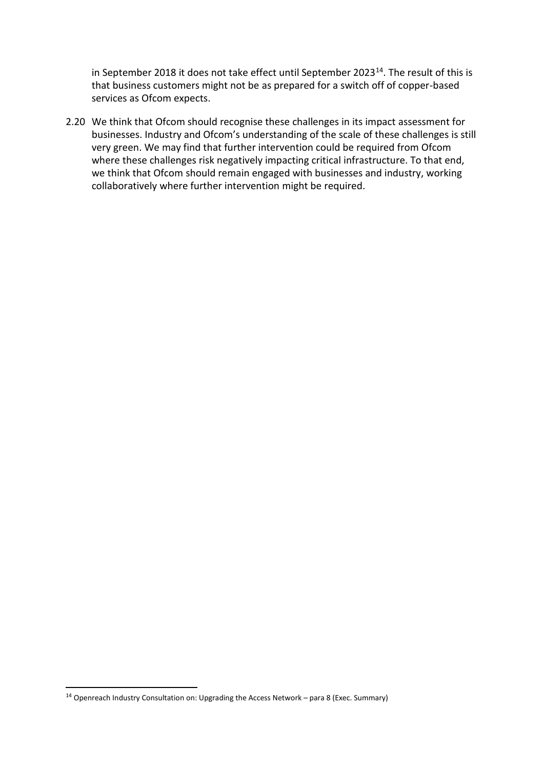in September 2018 it does not take effect until September 2023<sup>14</sup>. The result of this is that business customers might not be as prepared for a switch off of copper-based services as Ofcom expects.

2.20 We think that Ofcom should recognise these challenges in its impact assessment for businesses. Industry and Ofcom's understanding of the scale of these challenges is still very green. We may find that further intervention could be required from Ofcom where these challenges risk negatively impacting critical infrastructure. To that end, we think that Ofcom should remain engaged with businesses and industry, working collaboratively where further intervention might be required.

<sup>&</sup>lt;sup>14</sup> Openreach Industry Consultation on: Upgrading the Access Network – para 8 (Exec. Summary)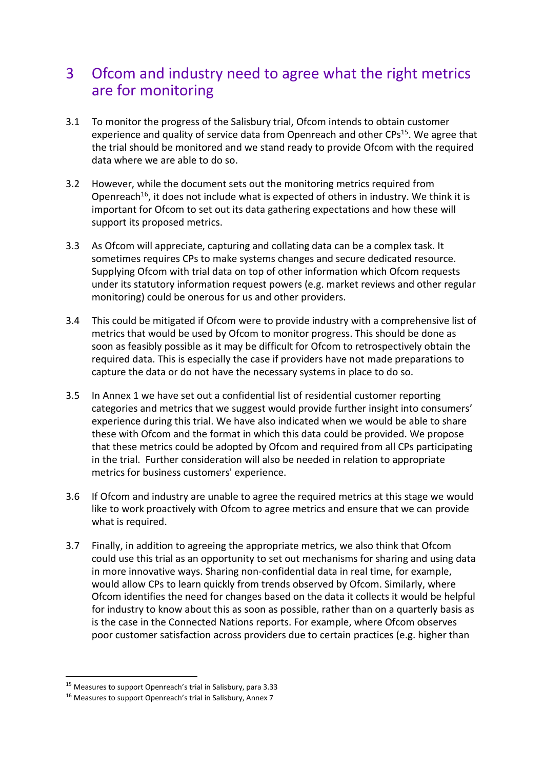# 3 Ofcom and industry need to agree what the right metrics are for monitoring

- 3.1 To monitor the progress of the Salisbury trial, Ofcom intends to obtain customer experience and quality of service data from Openreach and other CPs<sup>15</sup>. We agree that the trial should be monitored and we stand ready to provide Ofcom with the required data where we are able to do so.
- 3.2 However, while the document sets out the monitoring metrics required from Openreach<sup>16</sup>, it does not include what is expected of others in industry. We think it is important for Ofcom to set out its data gathering expectations and how these will support its proposed metrics.
- 3.3 As Ofcom will appreciate, capturing and collating data can be a complex task. It sometimes requires CPs to make systems changes and secure dedicated resource. Supplying Ofcom with trial data on top of other information which Ofcom requests under its statutory information request powers (e.g. market reviews and other regular monitoring) could be onerous for us and other providers.
- 3.4 This could be mitigated if Ofcom were to provide industry with a comprehensive list of metrics that would be used by Ofcom to monitor progress. This should be done as soon as feasibly possible as it may be difficult for Ofcom to retrospectively obtain the required data. This is especially the case if providers have not made preparations to capture the data or do not have the necessary systems in place to do so.
- 3.5 In Annex 1 we have set out a confidential list of residential customer reporting categories and metrics that we suggest would provide further insight into consumers' experience during this trial. We have also indicated when we would be able to share these with Ofcom and the format in which this data could be provided. We propose that these metrics could be adopted by Ofcom and required from all CPs participating in the trial. Further consideration will also be needed in relation to appropriate metrics for business customers' experience.
- 3.6 If Ofcom and industry are unable to agree the required metrics at this stage we would like to work proactively with Ofcom to agree metrics and ensure that we can provide what is required.
- 3.7 Finally, in addition to agreeing the appropriate metrics, we also think that Ofcom could use this trial as an opportunity to set out mechanisms for sharing and using data in more innovative ways. Sharing non-confidential data in real time, for example, would allow CPs to learn quickly from trends observed by Ofcom. Similarly, where Ofcom identifies the need for changes based on the data it collects it would be helpful for industry to know about this as soon as possible, rather than on a quarterly basis as is the case in the Connected Nations reports. For example, where Ofcom observes poor customer satisfaction across providers due to certain practices (e.g. higher than

<sup>15</sup> Measures to support Openreach's trial in Salisbury, para 3.33

<sup>16</sup> Measures to support Openreach's trial in Salisbury, Annex 7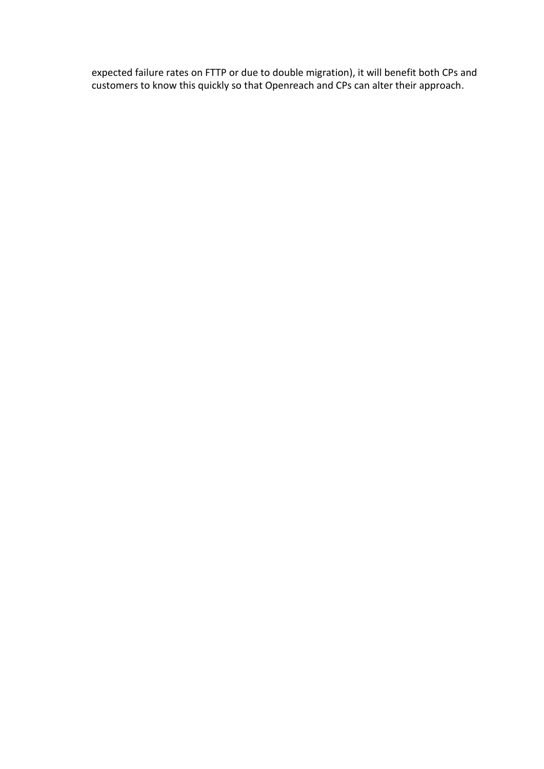expected failure rates on FTTP or due to double migration), it will benefit both CPs and customers to know this quickly so that Openreach and CPs can alter their approach.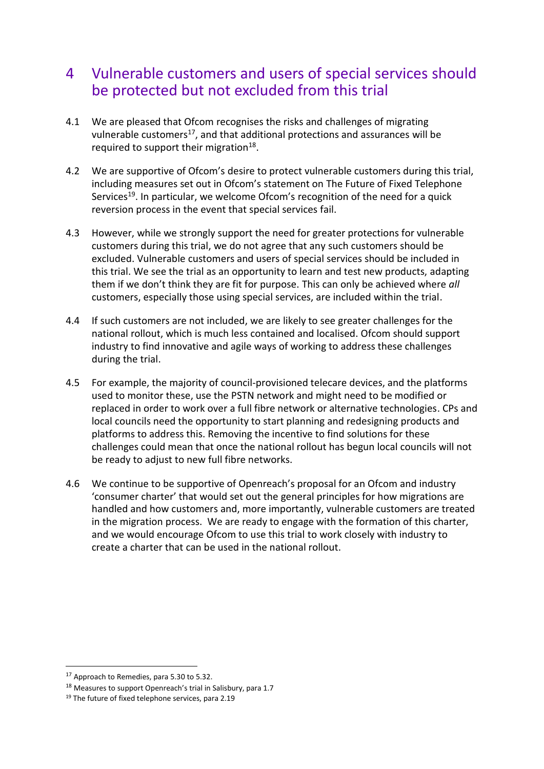# 4 Vulnerable customers and users of special services should be protected but not excluded from this trial

- 4.1 We are pleased that Ofcom recognises the risks and challenges of migrating vulnerable customers<sup>17</sup>, and that additional protections and assurances will be required to support their migration<sup>18</sup>.
- 4.2 We are supportive of Ofcom's desire to protect vulnerable customers during this trial, including measures set out in Ofcom's statement on The Future of Fixed Telephone Services<sup>19</sup>. In particular, we welcome Ofcom's recognition of the need for a quick reversion process in the event that special services fail.
- 4.3 However, while we strongly support the need for greater protections for vulnerable customers during this trial, we do not agree that any such customers should be excluded. Vulnerable customers and users of special services should be included in this trial. We see the trial as an opportunity to learn and test new products, adapting them if we don't think they are fit for purpose. This can only be achieved where *all* customers, especially those using special services, are included within the trial.
- 4.4 If such customers are not included, we are likely to see greater challenges for the national rollout, which is much less contained and localised. Ofcom should support industry to find innovative and agile ways of working to address these challenges during the trial.
- 4.5 For example, the majority of council-provisioned telecare devices, and the platforms used to monitor these, use the PSTN network and might need to be modified or replaced in order to work over a full fibre network or alternative technologies. CPs and local councils need the opportunity to start planning and redesigning products and platforms to address this. Removing the incentive to find solutions for these challenges could mean that once the national rollout has begun local councils will not be ready to adjust to new full fibre networks.
- 4.6 We continue to be supportive of Openreach's proposal for an Ofcom and industry 'consumer charter' that would set out the general principles for how migrations are handled and how customers and, more importantly, vulnerable customers are treated in the migration process. We are ready to engage with the formation of this charter, and we would encourage Ofcom to use this trial to work closely with industry to create a charter that can be used in the national rollout.

1

<sup>&</sup>lt;sup>17</sup> Approach to Remedies, para 5.30 to 5.32.

<sup>&</sup>lt;sup>18</sup> Measures to support Openreach's trial in Salisbury, para 1.7

<sup>&</sup>lt;sup>19</sup> The future of fixed telephone services, para 2.19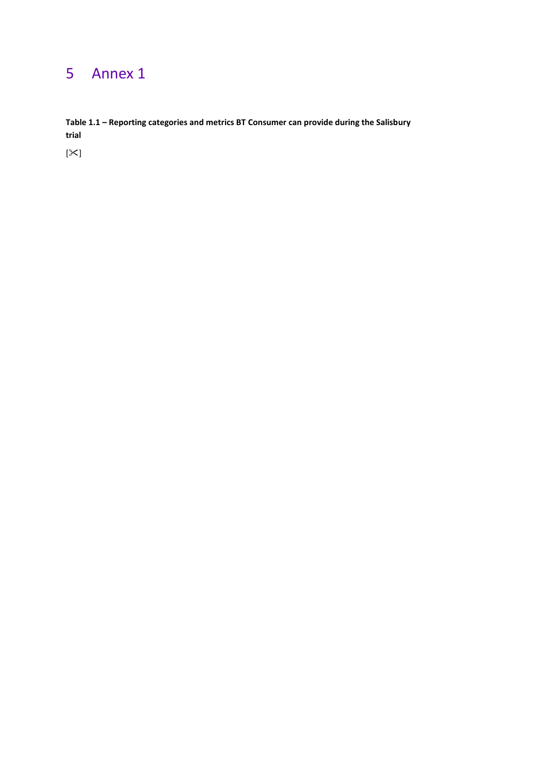# 5 Annex 1

**Table 1.1 – Reporting categories and metrics BT Consumer can provide during the Salisbury trial**

 $[\times]$